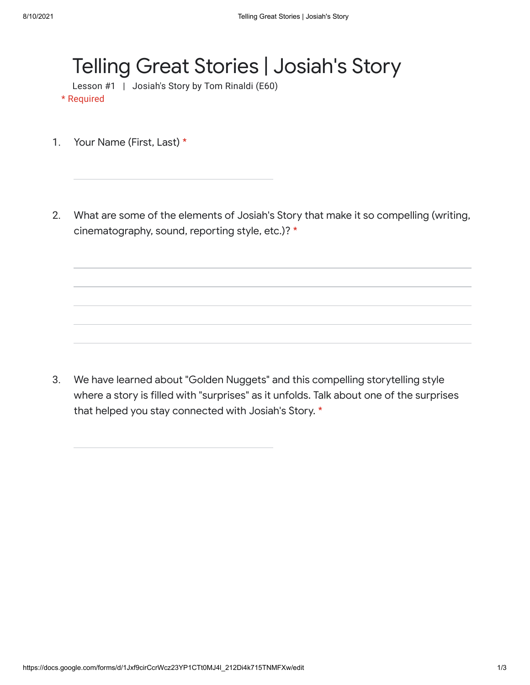## Telling Great Stories | Josiah's Story

Lesson #1 | Josiah's Story by Tom Rinaldi (E60)

\* Required

- 1. Your Name (First, Last) \*
- 2. What are some of the elements of Josiah's Story that make it so compelling (writing, cinematography, sound, reporting style, etc.)? \*

3. We have learned about "Golden Nuggets" and this compelling storytelling style where a story is filled with "surprises" as it unfolds. Talk about one of the surprises that helped you stay connected with Josiah's Story. \*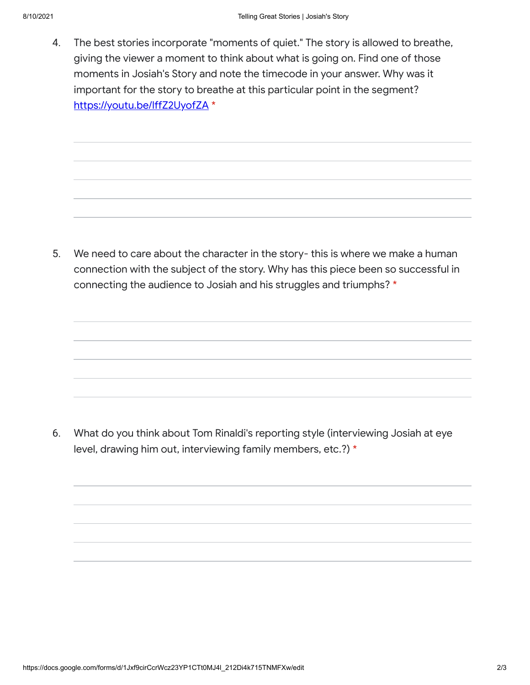4. The best stories incorporate "moments of quiet." The story is allowed to breathe, giving the viewer a moment to think about what is going on. Find one of those moments in Josiah's Story and note the timecode in your answer. Why was it important for the story to breathe at this particular point in the segment? [https://youtu.be/IffZ2UyofZA](https://www.google.com/url?q=https://youtu.be/IffZ2UyofZA&sa=D&source=editors&ust=1628626348232000&usg=AFQjCNFw4qBJJYZ8M4emjWwuJtEJl8pf-Q) \*

5. We need to care about the character in the story- this is where we make a human connection with the subject of the story. Why has this piece been so successful in connecting the audience to Josiah and his struggles and triumphs? \*

6. What do you think about Tom Rinaldi's reporting style (interviewing Josiah at eye level, drawing him out, interviewing family members, etc.?) \*